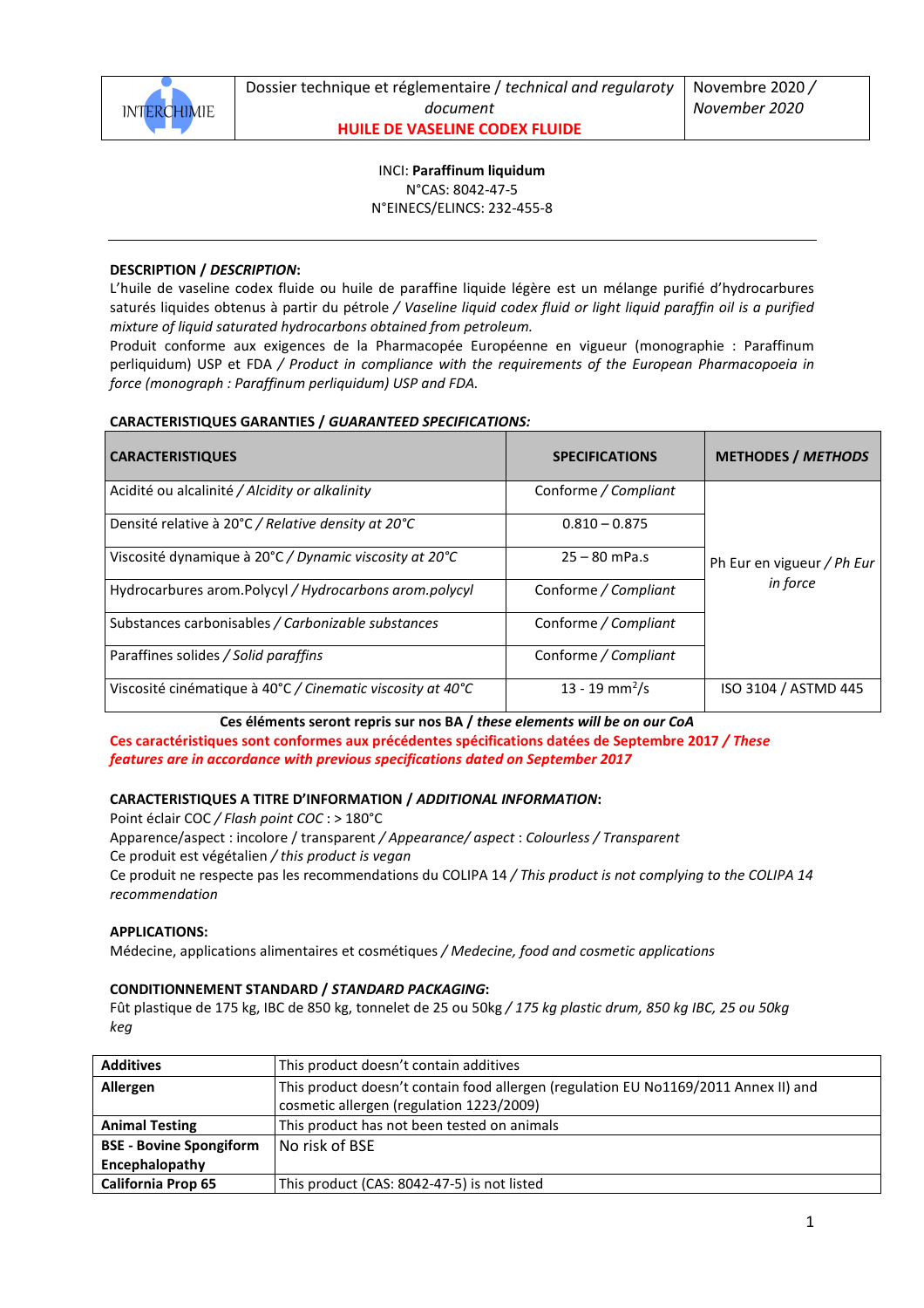

INCI: **Paraffinum liquidum** N°CAS: 8042-47-5 N°EINECS/ELINCS: 232-455-8

### **DESCRIPTION /** *DESCRIPTION***:**

L'huile de vaseline codex fluide ou huile de paraffine liquide légère est un mélange purifié d'hydrocarbures saturés liquides obtenus à partir du pétrole */ Vaseline liquid codex fluid or light liquid paraffin oil is a purified mixture of liquid saturated hydrocarbons obtained from petroleum.*

Produit conforme aux exigences de la Pharmacopée Européenne en vigueur (monographie : Paraffinum perliquidum) USP et FDA */ Product in compliance with the requirements of the European Pharmacopoeia in force (monograph : Paraffinum perliquidum) USP and FDA.* 

#### **CARACTERISTIQUES GARANTIES /** *GUARANTEED SPECIFICATIONS:*

| <b>CARACTERISTIQUES</b>                                    | <b>SPECIFICATIONS</b>      | <b>METHODES / METHODS</b>  |
|------------------------------------------------------------|----------------------------|----------------------------|
| Acidité ou alcalinité / Alcidity or alkalinity             | Conforme / Compliant       |                            |
| Densité relative à 20°C / Relative density at 20°C         | $0.810 - 0.875$            |                            |
| Viscosité dynamique à 20°C / Dynamic viscosity at 20°C     | $25 - 80$ mPa.s            | Ph Eur en vigueur / Ph Eur |
| Hydrocarbures arom.Polycyl / Hydrocarbons arom.polycyl     | Conforme / Compliant       | in force                   |
| Substances carbonisables / Carbonizable substances         | Conforme / Compliant       |                            |
| Paraffines solides / Solid paraffins                       | Conforme / Compliant       |                            |
| Viscosité cinématique à 40°C / Cinematic viscosity at 40°C | 13 - 19 mm <sup>2</sup> /s | ISO 3104 / ASTMD 445       |

**Ces éléments seront repris sur nos BA /** *these elements will be on our CoA*  **Ces caractéristiques sont conformes aux précédentes spécifications datées de Septembre 2017** */ These features are in accordance with previous specifications dated on September 2017* 

## **CARACTERISTIQUES A TITRE D'INFORMATION /** *ADDITIONAL INFORMATION***:**

Point éclair COC */ Flash point COC* : > 180°C Apparence/aspect : incolore / transparent */ Appearance/ aspect* : *Colourless / Transparent*  Ce produit est végétalien */ this product is vegan*  Ce produit ne respecte pas les recommendations du COLIPA 14 */ This product is not complying to the COLIPA 14 recommendation*

#### **APPLICATIONS:**

Médecine, applications alimentaires et cosmétiques */ Medecine, food and cosmetic applications*

#### **CONDITIONNEMENT STANDARD /** *STANDARD PACKAGING***:**

Fût plastique de 175 kg, IBC de 850 kg, tonnelet de 25 ou 50kg */ 175 kg plastic drum, 850 kg IBC, 25 ou 50kg keg* 

| <b>Additives</b>               | This product doesn't contain additives                                              |
|--------------------------------|-------------------------------------------------------------------------------------|
| Allergen                       | This product doesn't contain food allergen (regulation EU No1169/2011 Annex II) and |
|                                | cosmetic allergen (regulation 1223/2009)                                            |
| <b>Animal Testing</b>          | This product has not been tested on animals                                         |
| <b>BSE</b> - Bovine Spongiform | l No risk of BSE                                                                    |
| Encephalopathy                 |                                                                                     |
| <b>California Prop 65</b>      | This product (CAS: 8042-47-5) is not listed                                         |